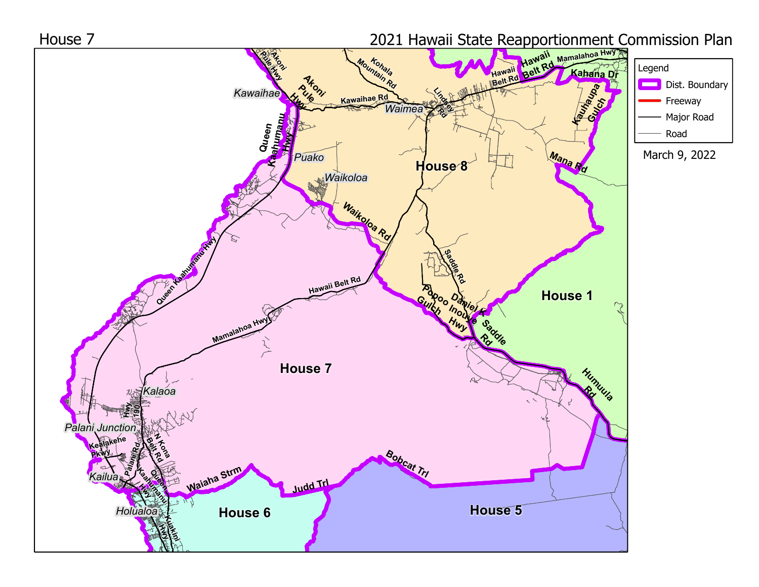